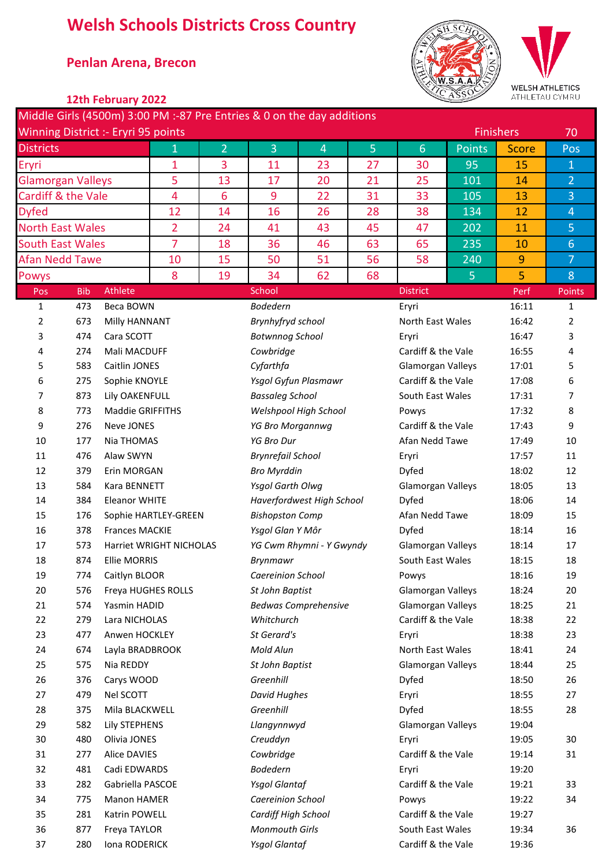## **Welsh Schools Districts Cross Country**

## \* **Penlan Arena, Brecon**



WELSH ATHLETICS .....<br>MRU

|                                                                                                                                                                                                                                                                                                            |                  | 12th February 2022                         |                                                         |                 |                                                                        |                             |                   |                          |                    |                  | -----------<br>ATHLETAU CYMRU |
|------------------------------------------------------------------------------------------------------------------------------------------------------------------------------------------------------------------------------------------------------------------------------------------------------------|------------------|--------------------------------------------|---------------------------------------------------------|-----------------|------------------------------------------------------------------------|-----------------------------|-------------------|--------------------------|--------------------|------------------|-------------------------------|
|                                                                                                                                                                                                                                                                                                            |                  |                                            |                                                         |                 | Middle Girls (4500m) 3:00 PM :-87 Pre Entries & 0 on the day additions |                             |                   |                          |                    |                  |                               |
|                                                                                                                                                                                                                                                                                                            |                  | <b>Winning District :- Eryri 95 points</b> |                                                         |                 |                                                                        |                             |                   |                          |                    | <b>Finishers</b> | 70                            |
| <b>Districts</b>                                                                                                                                                                                                                                                                                           |                  |                                            | $\mathbf 1$                                             | $\overline{2}$  | 3                                                                      | $\overline{4}$              | $\overline{5}$    | $6\phantom{1}6$          | <b>Points</b>      | <b>Score</b>     | Pos                           |
| Eryri                                                                                                                                                                                                                                                                                                      |                  |                                            | 1                                                       | 3               | 11                                                                     | 23                          | 27                | 30                       | 95                 | 15               | $\mathbf{1}$                  |
| 5<br><b>Glamorgan Valleys</b>                                                                                                                                                                                                                                                                              |                  |                                            |                                                         | 13              | 17                                                                     | 20                          | 21                | 25                       | 101                | 14               | $\overline{2}$                |
| Cardiff & the Vale                                                                                                                                                                                                                                                                                         |                  |                                            | $\overline{4}$                                          | 6               | 9                                                                      | 22                          | 31                | 33                       | 105                | 13               | $\overline{3}$                |
| <b>Dyfed</b><br><b>North East Wales</b><br><b>South East Wales</b><br><b>Afan Nedd Tawe</b><br>Powys<br>Athlete<br><b>Bib</b><br>Pos<br>473<br>Beca BOWN<br>1<br>673<br>2<br>Milly HANNANT<br>3<br>474<br>Cara SCOTT<br>274<br>Mali MACDUFF<br>4<br>583<br>Caitlin JONES<br>5<br>275<br>Sophie KNOYLE<br>6 |                  |                                            | 12                                                      | 14              | 16                                                                     | 26                          | 28                | 38                       | 134                | 12               | $\overline{4}$                |
|                                                                                                                                                                                                                                                                                                            |                  |                                            | $\overline{2}$                                          | 24              | 41                                                                     | 43                          | 45                | 47                       | 202                | 11               | 5                             |
|                                                                                                                                                                                                                                                                                                            |                  |                                            | $\overline{7}$                                          | 18              | 36                                                                     | 46                          | 63                | 65                       | 235                | 10               | $6 \overline{6}$              |
|                                                                                                                                                                                                                                                                                                            |                  |                                            | 10                                                      | 15              | 50                                                                     | 51                          | 56                | 58                       | 240                | $\overline{9}$   | $\overline{7}$                |
|                                                                                                                                                                                                                                                                                                            |                  |                                            | 8                                                       | 19              | 34                                                                     | 62                          | 68                |                          | 5                  | 5                | 8                             |
|                                                                                                                                                                                                                                                                                                            |                  |                                            |                                                         |                 | School                                                                 |                             |                   | <b>District</b>          |                    | Perf             | Points                        |
|                                                                                                                                                                                                                                                                                                            |                  |                                            |                                                         |                 | <b>Bodedern</b>                                                        |                             |                   | Eryri                    |                    | 16:11            | 1                             |
|                                                                                                                                                                                                                                                                                                            |                  |                                            |                                                         |                 | Brynhyfryd school                                                      |                             |                   | North East Wales         |                    | 16:42            | 2                             |
|                                                                                                                                                                                                                                                                                                            |                  |                                            |                                                         |                 | <b>Botwnnog School</b>                                                 |                             |                   | Eryri                    |                    | 16:47            | 3                             |
|                                                                                                                                                                                                                                                                                                            |                  |                                            |                                                         |                 | Cowbridge                                                              |                             |                   | Cardiff & the Vale       |                    | 16:55            | 4                             |
|                                                                                                                                                                                                                                                                                                            |                  |                                            |                                                         |                 | Cyfarthfa                                                              |                             |                   | Glamorgan Valleys        |                    | 17:01            | 5                             |
|                                                                                                                                                                                                                                                                                                            |                  |                                            |                                                         |                 |                                                                        | Ysgol Gyfun Plasmawr        |                   | Cardiff & the Vale       |                    | 17:08            | 6                             |
| 7                                                                                                                                                                                                                                                                                                          | 873              | Lily OAKENFULL                             |                                                         |                 | <b>Bassaleg School</b>                                                 |                             |                   | South East Wales         |                    | 17:31            | 7                             |
| 8                                                                                                                                                                                                                                                                                                          | 773              | <b>Maddie GRIFFITHS</b>                    |                                                         |                 |                                                                        | Welshpool High School       |                   | Powys                    |                    | 17:32            | 8                             |
| 9                                                                                                                                                                                                                                                                                                          | 276              | Neve JONES<br>Nia THOMAS                   |                                                         |                 | YG Bro Morgannwg                                                       |                             |                   |                          | Cardiff & the Vale |                  | 9                             |
| 10                                                                                                                                                                                                                                                                                                         | 177              |                                            | Alaw SWYN                                               |                 |                                                                        | <b>YG Bro Dur</b>           |                   |                          | Afan Nedd Tawe     |                  | 10                            |
| 11                                                                                                                                                                                                                                                                                                         | 476              |                                            | Erin MORGAN                                             |                 |                                                                        | <b>Brynrefail School</b>    |                   | Eryri                    |                    | 17:57            | 11                            |
| 12                                                                                                                                                                                                                                                                                                         | 379              |                                            |                                                         |                 | <b>Bro Myrddin</b>                                                     |                             |                   | Dyfed                    |                    | 18:02            | 12                            |
| 13                                                                                                                                                                                                                                                                                                         | 584              | Kara BENNETT                               |                                                         |                 | Ysgol Garth Olwg                                                       |                             |                   | Glamorgan Valleys        |                    | 18:05            | 13                            |
| 14                                                                                                                                                                                                                                                                                                         | 384              | <b>Eleanor WHITE</b>                       |                                                         |                 |                                                                        | Haverfordwest High School   |                   | Dyfed                    |                    | 18:06            | 14                            |
| 15                                                                                                                                                                                                                                                                                                         | 176              |                                            | Sophie HARTLEY-GREEN                                    |                 | <b>Bishopston Comp</b>                                                 |                             |                   | Afan Nedd Tawe           |                    | 18:09            | 15                            |
| 16                                                                                                                                                                                                                                                                                                         | 378              |                                            |                                                         |                 | Ysgol Glan Y Môr                                                       |                             |                   | Dyfed                    |                    | 18:14            | 16                            |
| 17                                                                                                                                                                                                                                                                                                         | 573              |                                            | <b>Frances MACKIE</b><br><b>Harriet WRIGHT NICHOLAS</b> |                 |                                                                        | YG Cwm Rhymni - Y Gwyndy    |                   | <b>Glamorgan Valleys</b> |                    | 18:14            | 17                            |
| 18                                                                                                                                                                                                                                                                                                         | 874              | <b>Ellie MORRIS</b>                        |                                                         |                 | Brynmawr                                                               |                             |                   | South East Wales         |                    | 18:15            | 18                            |
| 19                                                                                                                                                                                                                                                                                                         | 774              | Caitlyn BLOOR                              |                                                         |                 | Caereinion School                                                      |                             |                   | Powys                    |                    | 18:16            | 19                            |
| 20                                                                                                                                                                                                                                                                                                         | 576              | Freya HUGHES ROLLS                         |                                                         |                 | St John Baptist                                                        |                             |                   | <b>Glamorgan Valleys</b> |                    | 18:24            | 20                            |
| 21                                                                                                                                                                                                                                                                                                         | 574              | Yasmin HADID                               |                                                         |                 |                                                                        | <b>Bedwas Comprehensive</b> |                   | Glamorgan Valleys        |                    | 18:25            | 21                            |
| 22                                                                                                                                                                                                                                                                                                         | 279              | Lara NICHOLAS                              |                                                         |                 | Whitchurch                                                             |                             |                   | Cardiff & the Vale       |                    | 18:38            | 22                            |
| 23                                                                                                                                                                                                                                                                                                         | 477              | Anwen HOCKLEY                              |                                                         |                 | St Gerard's                                                            |                             |                   | Eryri                    |                    | 18:38            | 23                            |
| 24                                                                                                                                                                                                                                                                                                         | 674              | Layla BRADBROOK                            |                                                         |                 | Mold Alun                                                              |                             |                   | North East Wales         |                    | 18:41            | 24                            |
| 25                                                                                                                                                                                                                                                                                                         | 575<br>Nia REDDY |                                            |                                                         | St John Baptist |                                                                        |                             | Glamorgan Valleys |                          | 18:44              | 25               |                               |
| 26                                                                                                                                                                                                                                                                                                         | 376              | Carys WOOD                                 |                                                         |                 | Greenhill                                                              |                             |                   | Dyfed                    |                    | 18:50            | 26                            |
| 27                                                                                                                                                                                                                                                                                                         | 479              | Nel SCOTT                                  |                                                         |                 | <b>David Hughes</b>                                                    |                             |                   | Eryri                    |                    | 18:55            | 27                            |
| 28                                                                                                                                                                                                                                                                                                         | 375              | Mila BLACKWELL                             |                                                         |                 | Greenhill                                                              |                             |                   | Dyfed                    | 18:55              | 28               |                               |
| 29                                                                                                                                                                                                                                                                                                         | 582              | Lily STEPHENS                              |                                                         |                 | Llangynnwyd                                                            |                             |                   | Glamorgan Valleys        | 19:04              |                  |                               |
| 30                                                                                                                                                                                                                                                                                                         | 480              | Olivia JONES                               |                                                         |                 | Creuddyn                                                               |                             |                   | Eryri                    |                    | 19:05            | 30                            |

31 277 Alice DAVIES **Cowbridge** Composition Cardiff & the Vale 19:14 31

 282 Gabriella PASCOE *Ysgol Glantaf* Cardiff & the Vale 19:21 33 775 Manon HAMER *Caereinion School* Powys 19:22 34

877 Freya TAYLOR *Monmouth Girls* South East Wales 19:34 36

481 Cadi EDWARDS *Bodedern* Eryri 19:20

281 Katrin POWELL *Cardiff High School* Cardiff & the Vale 19:27

37 280 Iona RODERICK *Ysgol Glantaf* Cardiff & the Vale 19:36